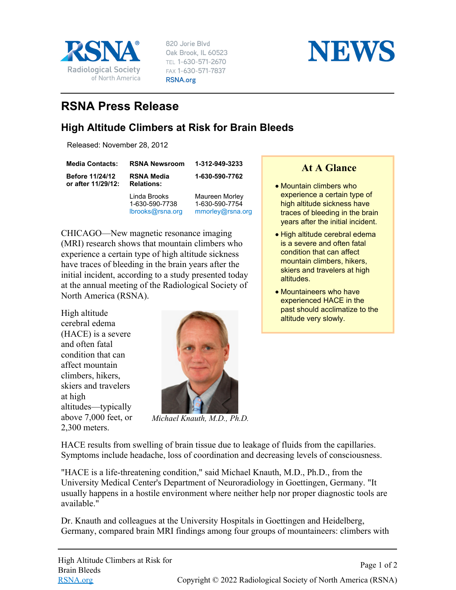

820 Jorie Blvd Oak Brook, IL 60523 TEL 1-630-571-2670 FAX 1-630-571-7837 RSNA.org



## **RSNA Press Release**

## **High Altitude Climbers at Risk for Brain Bleeds**

Released: November 28, 2012

| <b>Media Contacts:</b>                       | <b>RSNA Newsroom</b>                               | 1-312-949-3233                                       |
|----------------------------------------------|----------------------------------------------------|------------------------------------------------------|
| <b>Before 11/24/12</b><br>or after 11/29/12: | <b>RSNA Media</b><br><b>Relations:</b>             | 1-630-590-7762                                       |
|                                              | Linda Brooks<br>1-630-590-7738<br>lbrooks@rsna.org | Maureen Morley<br>1-630-590-7754<br>mmorley@rsna.org |

CHICAGO—New magnetic resonance imaging (MRI) research shows that mountain climbers who experience a certain type of high altitude sickness have traces of bleeding in the brain years after the initial incident, according to a study presented today at the annual meeting of the Radiological Society of North America (RSNA).

High altitude cerebral edema (HACE) is a severe and often fatal condition that can affect mountain climbers, hikers, skiers and travelers at high altitudes—typically above 7,000 feet, or 2,300 meters.



*Michael Knauth, M.D., Ph.D.*

HACE results from swelling of brain tissue due to leakage of fluids from the capillaries. Symptoms include headache, loss of coordination and decreasing levels of consciousness.

"HACE is a life-threatening condition," said Michael Knauth, M.D., Ph.D., from the University Medical Center's Department of Neuroradiology in Goettingen, Germany. "It usually happens in a hostile environment where neither help nor proper diagnostic tools are available."

Dr. Knauth and colleagues at the University Hospitals in Goettingen and Heidelberg, Germany, compared brain MRI findings among four groups of mountaineers: climbers with

**At A Glance**

- Mountain climbers who experience a certain type of high altitude sickness have traces of bleeding in the brain years after the initial incident.
- High altitude cerebral edema is a severe and often fatal condition that can affect mountain climbers, hikers, skiers and travelers at high altitudes.
- Mountaineers who have experienced HACE in the past should acclimatize to the altitude very slowly.